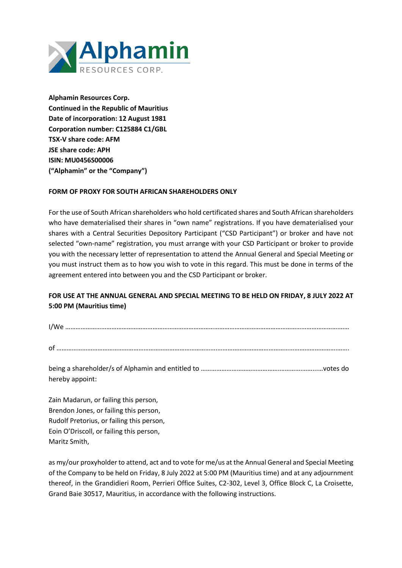

**Alphamin Resources Corp. Continued in the Republic of Mauritius Date of incorporation: 12 August 1981 Corporation number: C125884 C1/GBL TSX-V share code: AFM JSE share code: APH ISIN: MU0456S00006 ("Alphamin" or the "Company")**

## **FORM OF PROXY FOR SOUTH AFRICAN SHAREHOLDERS ONLY**

For the use of South African shareholders who hold certificated shares and South African shareholders who have dematerialised their shares in "own name" registrations. If you have dematerialised your shares with a Central Securities Depository Participant ("CSD Participant") or broker and have not selected "own-name" registration, you must arrange with your CSD Participant or broker to provide you with the necessary letter of representation to attend the Annual General and Special Meeting or you must instruct them as to how you wish to vote in this regard. This must be done in terms of the agreement entered into between you and the CSD Participant or broker.

# **FOR USE AT THE ANNUAL GENERAL AND SPECIAL MEETING TO BE HELD ON FRIDAY, 8 JULY 2022 AT 5:00 PM (Mauritius time)**

| $^{\prime}$ Me |  |
|----------------|--|
|                |  |

of ………………………………………………………………………………….…………………………………………………………….…….

being a shareholder/s of Alphamin and entitled to ……………………………………….………….……...…votes do hereby appoint:

Zain Madarun, or failing this person, Brendon Jones, or failing this person, Rudolf Pretorius, or failing this person, Eoin O'Driscoll, or failing this person, Maritz Smith,

as my/our proxyholder to attend, act and to vote for me/us at the Annual General and Special Meeting of the Company to be held on Friday, 8 July 2022 at 5:00 PM (Mauritius time) and at any adjournment thereof, in the Grandidieri Room, Perrieri Office Suites, C2-302, Level 3, Office Block C, La Croisette, Grand Baie 30517, Mauritius, in accordance with the following instructions.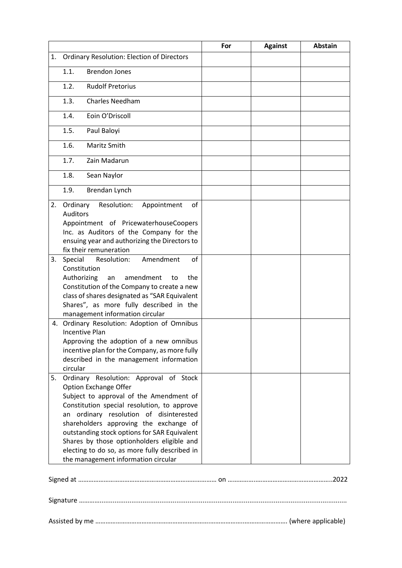|    |                                                                                                                                                                                                                                                                                                                                                                                                                                             | For | <b>Against</b> | <b>Abstain</b> |  |  |
|----|---------------------------------------------------------------------------------------------------------------------------------------------------------------------------------------------------------------------------------------------------------------------------------------------------------------------------------------------------------------------------------------------------------------------------------------------|-----|----------------|----------------|--|--|
| 1. | <b>Ordinary Resolution: Election of Directors</b>                                                                                                                                                                                                                                                                                                                                                                                           |     |                |                |  |  |
|    | 1.1.<br><b>Brendon Jones</b>                                                                                                                                                                                                                                                                                                                                                                                                                |     |                |                |  |  |
|    | 1.2.<br><b>Rudolf Pretorius</b>                                                                                                                                                                                                                                                                                                                                                                                                             |     |                |                |  |  |
|    | 1.3.<br><b>Charles Needham</b>                                                                                                                                                                                                                                                                                                                                                                                                              |     |                |                |  |  |
|    | Eoin O'Driscoll<br>1.4.                                                                                                                                                                                                                                                                                                                                                                                                                     |     |                |                |  |  |
|    | 1.5.<br>Paul Baloyi                                                                                                                                                                                                                                                                                                                                                                                                                         |     |                |                |  |  |
|    | 1.6.<br>Maritz Smith                                                                                                                                                                                                                                                                                                                                                                                                                        |     |                |                |  |  |
|    | 1.7.<br>Zain Madarun                                                                                                                                                                                                                                                                                                                                                                                                                        |     |                |                |  |  |
|    | 1.8.<br>Sean Naylor                                                                                                                                                                                                                                                                                                                                                                                                                         |     |                |                |  |  |
|    | 1.9.<br>Brendan Lynch                                                                                                                                                                                                                                                                                                                                                                                                                       |     |                |                |  |  |
| 2. | Ordinary<br>Resolution:<br>Appointment<br>of<br><b>Auditors</b><br>Appointment of PricewaterhouseCoopers<br>Inc. as Auditors of the Company for the<br>ensuing year and authorizing the Directors to<br>fix their remuneration                                                                                                                                                                                                              |     |                |                |  |  |
| 3. | Special<br>Amendment<br>of<br>Resolution:<br>Constitution<br>Authorizing<br>amendment<br>the<br>to<br>an<br>Constitution of the Company to create a new<br>class of shares designated as "SAR Equivalent<br>Shares", as more fully described in the<br>management information circular                                                                                                                                                      |     |                |                |  |  |
|    | 4. Ordinary Resolution: Adoption of Omnibus<br><b>Incentive Plan</b><br>Approving the adoption of a new omnibus<br>incentive plan for the Company, as more fully<br>described in the management information<br>circular                                                                                                                                                                                                                     |     |                |                |  |  |
| 5. | Ordinary Resolution: Approval of Stock<br><b>Option Exchange Offer</b><br>Subject to approval of the Amendment of<br>Constitution special resolution, to approve<br>an ordinary resolution of disinterested<br>shareholders approving the exchange of<br>outstanding stock options for SAR Equivalent<br>Shares by those optionholders eligible and<br>electing to do so, as more fully described in<br>the management information circular |     |                |                |  |  |
|    |                                                                                                                                                                                                                                                                                                                                                                                                                                             |     |                |                |  |  |
|    |                                                                                                                                                                                                                                                                                                                                                                                                                                             |     |                |                |  |  |

Assisted by me ………………………………………………………….………………..……………………. (where applicable)